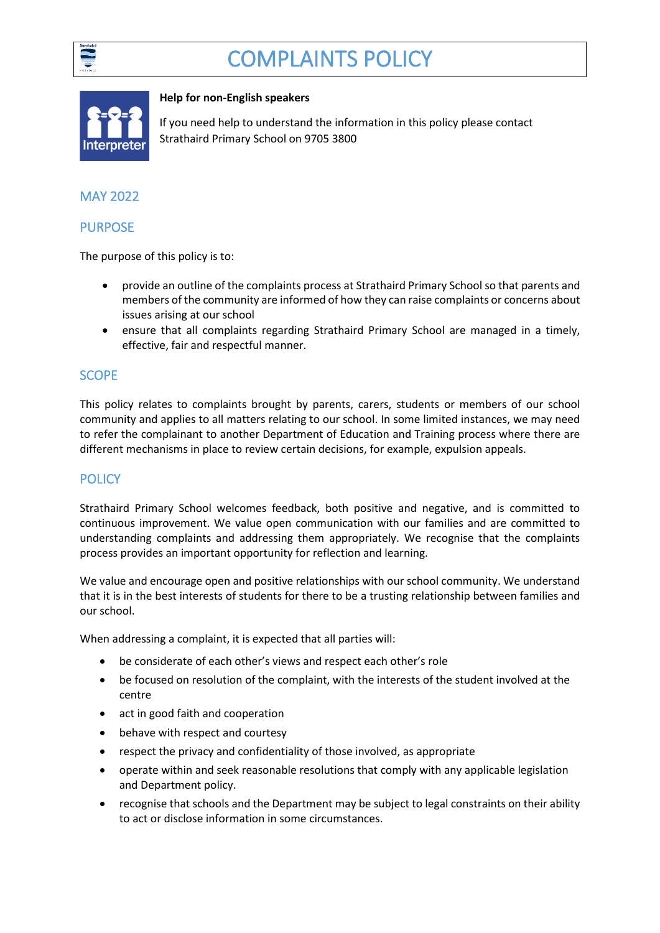

# COMPLAINTS POLICY



#### **Help for non-English speakers**

If you need help to understand the information in this policy please contact Strathaird Primary School on 9705 3800

# MAY 2022

## PURPOSE

The purpose of this policy is to:

- provide an outline of the complaints process at Strathaird Primary School so that parents and members of the community are informed of how they can raise complaints or concerns about issues arising at our school
- ensure that all complaints regarding Strathaird Primary School are managed in a timely, effective, fair and respectful manner.

## **SCOPE**

This policy relates to complaints brought by parents, carers, students or members of our school community and applies to all matters relating to our school. In some limited instances, we may need to refer the complainant to another Department of Education and Training process where there are different mechanisms in place to review certain decisions, for example, expulsion appeals.

## **POLICY**

Strathaird Primary School welcomes feedback, both positive and negative, and is committed to continuous improvement. We value open communication with our families and are committed to understanding complaints and addressing them appropriately. We recognise that the complaints process provides an important opportunity for reflection and learning.

We value and encourage open and positive relationships with our school community. We understand that it is in the best interests of students for there to be a trusting relationship between families and our school.

When addressing a complaint, it is expected that all parties will:

- be considerate of each other's views and respect each other's role
- be focused on resolution of the complaint, with the interests of the student involved at the centre
- act in good faith and cooperation
- behave with respect and courtesy
- respect the privacy and confidentiality of those involved, as appropriate
- operate within and seek reasonable resolutions that comply with any applicable legislation and Department policy.
- recognise that schools and the Department may be subject to legal constraints on their ability to act or disclose information in some circumstances.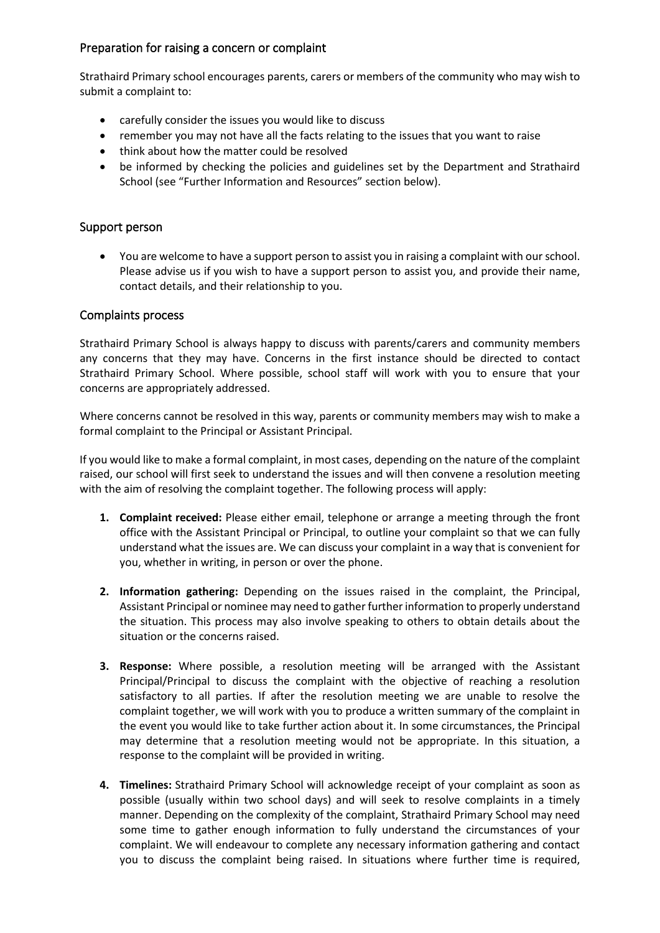### Preparation for raising a concern or complaint

Strathaird Primary school encourages parents, carers or members of the community who may wish to submit a complaint to:

- carefully consider the issues you would like to discuss
- remember you may not have all the facts relating to the issues that you want to raise
- think about how the matter could be resolved
- be informed by checking the policies and guidelines set by the Department and Strathaird School (see "Further Information and Resources" section below).

### Support person

• You are welcome to have a support person to assist you in raising a complaint with our school. Please advise us if you wish to have a support person to assist you, and provide their name, contact details, and their relationship to you.

#### Complaints process

Strathaird Primary School is always happy to discuss with parents/carers and community members any concerns that they may have. Concerns in the first instance should be directed to contact Strathaird Primary School. Where possible, school staff will work with you to ensure that your concerns are appropriately addressed.

Where concerns cannot be resolved in this way, parents or community members may wish to make a formal complaint to the Principal or Assistant Principal.

If you would like to make a formal complaint, in most cases, depending on the nature of the complaint raised, our school will first seek to understand the issues and will then convene a resolution meeting with the aim of resolving the complaint together. The following process will apply:

- **1. Complaint received:** Please either email, telephone or arrange a meeting through the front office with the Assistant Principal or Principal, to outline your complaint so that we can fully understand what the issues are. We can discuss your complaint in a way that is convenient for you, whether in writing, in person or over the phone.
- **2. Information gathering:** Depending on the issues raised in the complaint, the Principal, Assistant Principal or nominee may need to gather further information to properly understand the situation. This process may also involve speaking to others to obtain details about the situation or the concerns raised.
- **3. Response:** Where possible, a resolution meeting will be arranged with the Assistant Principal/Principal to discuss the complaint with the objective of reaching a resolution satisfactory to all parties. If after the resolution meeting we are unable to resolve the complaint together, we will work with you to produce a written summary of the complaint in the event you would like to take further action about it. In some circumstances, the Principal may determine that a resolution meeting would not be appropriate. In this situation, a response to the complaint will be provided in writing.
- **4. Timelines:** Strathaird Primary School will acknowledge receipt of your complaint as soon as possible (usually within two school days) and will seek to resolve complaints in a timely manner. Depending on the complexity of the complaint, Strathaird Primary School may need some time to gather enough information to fully understand the circumstances of your complaint. We will endeavour to complete any necessary information gathering and contact you to discuss the complaint being raised. In situations where further time is required,